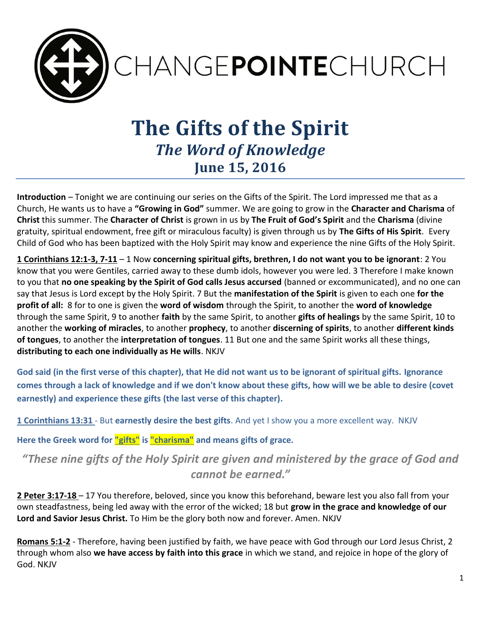

# **The Gifts of the Spirit** *The Word of Knowledge* **June 15, 2016**

**Introduction** – Tonight we are continuing our series on the Gifts of the Spirit. The Lord impressed me that as a Church, He wants us to have a **"Growing in God"** summer. We are going to grow in the **Character and Charisma** of **Christ** this summer. The **Character of Christ** is grown in us by **The Fruit of God's Spirit** and the **Charisma** (divine gratuity, spiritual endowment, free gift or miraculous faculty) is given through us by **The Gifts of His Spirit**. Every Child of God who has been baptized with the Holy Spirit may know and experience the nine Gifts of the Holy Spirit.

**1 Corinthians 12:1-3, 7-11** – 1 Now **concerning spiritual gifts, brethren, I do not want you to be ignorant**: 2 You know that you were Gentiles, carried away to these dumb idols, however you were led. 3 Therefore I make known to you that **no one speaking by the Spirit of God calls Jesus accursed** (banned or excommunicated), and no one can say that Jesus is Lord except by the Holy Spirit. 7 But the **manifestation of the Spirit** is given to each one **for the profit of all:** 8 for to one is given the **word of wisdom** through the Spirit, to another the **word of knowledge** through the same Spirit, 9 to another **faith** by the same Spirit, to another **gifts of healings** by the same Spirit, 10 to another the **working of miracles**, to another **prophecy**, to another **discerning of spirits**, to another **different kinds of tongues**, to another the **interpretation of tongues**. 11 But one and the same Spirit works all these things, **distributing to each one individually as He wills**. NKJV

**God said (in the first verse of this chapter), that He did not want us to be ignorant of spiritual gifts. Ignorance comes through a lack of knowledge and if we don't know about these gifts, how will we be able to desire (covet earnestly) and experience these gifts (the last verse of this chapter).**

**1 Corinthians 13:31** - But **earnestly desire the best gifts**. And yet I show you a more excellent way. NKJV

**Here the Greek word for "gifts" is "charisma" and means gifts of grace.** 

*"These nine gifts of the Holy Spirit are given and ministered by the grace of God and cannot be earned."*

**2 Peter 3:17-18** – 17 You therefore, beloved, since you know this beforehand, beware lest you also fall from your own steadfastness, being led away with the error of the wicked; 18 but **grow in the grace and knowledge of our Lord and Savior Jesus Christ.** To Him be the glory both now and forever. Amen. NKJV

**Romans 5:1-2** - Therefore, having been justified by faith, we have peace with God through our Lord Jesus Christ, 2 through whom also **we have access by faith into this grace** in which we stand, and rejoice in hope of the glory of God. NKJV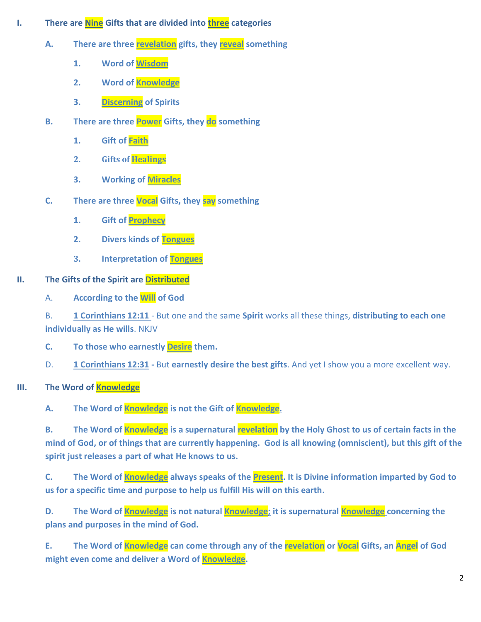- **I. There are Nine Gifts that are divided into three categories** 
	- **A. There are three revelation gifts, they reveal something**
		- **1. Word of Wisdom**
		- **2. Word of Knowledge**
		- **3. Discerning of Spirits**
	- **B. There are three Power Gifts, they do something** 
		- **1. Gift of Faith**
		- **2. Gifts of Healings**
		- **3. Working of Miracles**
	- **C. There are three Vocal Gifts, they say something**
		- **1. Gift of Prophecy**
		- **2. Divers kinds of Tongues**
		- **3. Interpretation of Tongues**

# **II. The Gifts of the Spirit are Distributed**

A. **According to the Will of God**

B. **1 Corinthians 12:11** - But one and the same **Spirit** works all these things, **distributing to each one individually as He wills**. NKJV

**C. To those who earnestly Desire them.**

D. **1 Corinthians 12:31 -** But **earnestly desire the best gifts**. And yet I show you a more excellent way.

**III. The Word of Knowledge**

**A. The Word of Knowledge is not the Gift of Knowledge.** 

**B.** The Word of **Knowledge** is a supernatural **revelation** by the Holy Ghost to us of certain facts in the **mind of God, or of things that are currently happening. God is all knowing (omniscient), but this gift of the spirit just releases a part of what He knows to us.** 

**C. The Word of Knowledge always speaks of the Present. It is Divine information imparted by God to us for a specific time and purpose to help us fulfill His will on this earth.** 

**D. The Word of Knowledge is not natural Knowledge; it is supernatural Knowledge concerning the plans and purposes in the mind of God.** 

**E. The Word of Knowledge can come through any of the revelation or Vocal Gifts, an Angel of God might even come and deliver a Word of Knowledge.**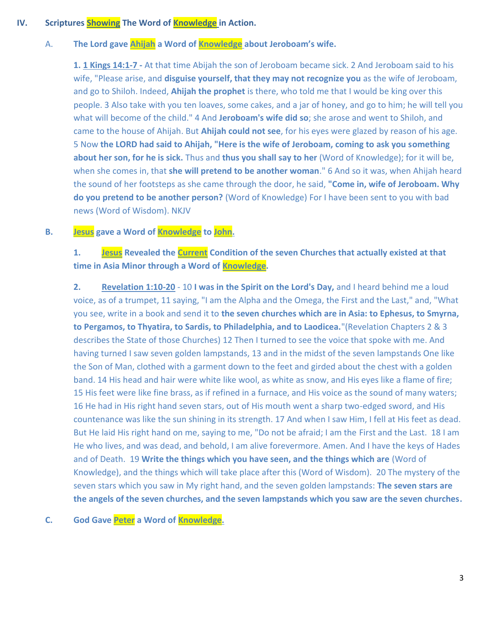### **IV. Scriptures Showing The Word of Knowledge in Action.**

### A. **The Lord gave Ahijah a Word of Knowledge about Jeroboam's wife.**

**1. 1 Kings 14:1-7 -** At that time Abijah the son of Jeroboam became sick. 2 And Jeroboam said to his wife, "Please arise, and **disguise yourself, that they may not recognize you** as the wife of Jeroboam, and go to Shiloh. Indeed, **Ahijah the prophet** is there, who told me that I would be king over this people. 3 Also take with you ten loaves, some cakes, and a jar of honey, and go to him; he will tell you what will become of the child." 4 And **Jeroboam's wife did so**; she arose and went to Shiloh, and came to the house of Ahijah. But **Ahijah could not see**, for his eyes were glazed by reason of his age. 5 Now **the LORD had said to Ahijah, "Here is the wife of Jeroboam, coming to ask you something about her son, for he is sick.** Thus and **thus you shall say to her** (Word of Knowledge); for it will be, when she comes in, that **she will pretend to be another woman**." 6 And so it was, when Ahijah heard the sound of her footsteps as she came through the door, he said, **"Come in, wife of Jeroboam. Why do you pretend to be another person?** (Word of Knowledge) For I have been sent to you with bad news (Word of Wisdom). NKJV

## **B. Jesus gave a Word of Knowledge to John.**

# **1. Jesus Revealed the Current Condition of the seven Churches that actually existed at that time in Asia Minor through a Word of Knowledge.**

**2. Revelation 1:10-20** - 10 **I was in the Spirit on the Lord's Day,** and I heard behind me a loud voice, as of a trumpet, 11 saying, "I am the Alpha and the Omega, the First and the Last," and, "What you see, write in a book and send it to **the seven churches which are in Asia: to Ephesus, to Smyrna, to Pergamos, to Thyatira, to Sardis, to Philadelphia, and to Laodicea.**"(Revelation Chapters 2 & 3 describes the State of those Churches) 12 Then I turned to see the voice that spoke with me. And having turned I saw seven golden lampstands, 13 and in the midst of the seven lampstands One like the Son of Man, clothed with a garment down to the feet and girded about the chest with a golden band. 14 His head and hair were white like wool, as white as snow, and His eyes like a flame of fire; 15 His feet were like fine brass, as if refined in a furnace, and His voice as the sound of many waters; 16 He had in His right hand seven stars, out of His mouth went a sharp two-edged sword, and His countenance was like the sun shining in its strength. 17 And when I saw Him, I fell at His feet as dead. But He laid His right hand on me, saying to me, "Do not be afraid; I am the First and the Last. 18 I am He who lives, and was dead, and behold, I am alive forevermore. Amen. And I have the keys of Hades and of Death. 19 **Write the things which you have seen, and the things which are** (Word of Knowledge), and the things which will take place after this (Word of Wisdom). 20 The mystery of the seven stars which you saw in My right hand, and the seven golden lampstands: **The seven stars are the angels of the seven churches, and the seven lampstands which you saw are the seven churches.**

### **C. God Gave Peter a Word of Knowledge.**